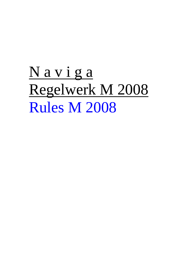# N a v i g a Regelwerk M 2008 Rules M 2008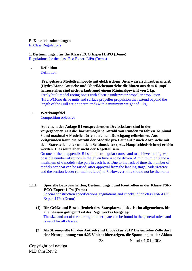#### **E. Klassenbestimmungen**

E. Class Regulations

# **1. Bestimmungen für die Klasse ECO Expert LiPO (Demo)**

Regulations for the class Eco Expert LiPo (Demo)

### **1. Definition**

**Definition** 

**Frei gebaute Modellrennboote mit elektrischem Unterwasserschraubenantrieb (Hydro/Mono Antriebe und Oberflächenantriebe die hinten aus dem Rumpf herausstehen sind nicht erlaubt)und einem Minimalgewicht von 1 kg.**  Freely built model racing boats with electric underwater propeller propulsion (Hydro/Mono drive units and surface propeller propulsion that extend beyond the length of the Hull are not permitted) with a minimum weight of 1 kg

### **1.1 Wettkampfziel**

Competition objective

**Auf einem der Anlage B1 entsprechenden Dreieckskurs sind in der vorgegebenen Zeit die höchstmögliche Anzahl von Runden zu fahren. Minimal 3 und maximal 6 Modelle dürfen an einem Durchgang teilnehmen. Aus Zeitgründen kann die Anzahl der Modelle pro Lauf auf 7 nach Absprache mit dem Startstellenleiter und dem Sektionsleiter (bzw. Hauptschiedsrichter) erhöht werden. Dies sollte aber nicht der Regelfall sein.** 

On one of the in appendix B1 suitable triangular course and to achieve the highest possible number of rounds in the given time is to be driven. A minimum of 3 and a maximum of 6 models take part in each heat. Due to the lack of time the number of models per heat can be raised, after approval from the landing stage leader/referee and the section leader (or main referee) to 7. However, this should not be the norm.

**1.1.1 Spezielle Bauvorschriften, Bestimmungen und Kontrollen in der Klasse FSR-ECO-Expert LiPo (Demo)** 

Special construction specifications, regulations and checks in the class FSR-ECO Expert LiPo (Demo)

- **(1) Die Größe und Beschaffenheit des Startplatzschildes ist im allgemeinen, für alle Klassen gültigen Teil des Regelwerkes festgelegt.**  The size and art of the starting number plate can be found in the general rules and is valid for all classes.
- **(2) Als Stromquelle für den Antrieb sind Lipoakkus 2S1P Die einzelne Zelle darf eine Nennspannung von 4,25 V nicht übersteigen, die Spannung beider Akkus**

Copyright bei naviga M.Dahm Rev 2

Stand 01.01.2008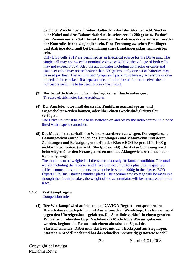**darf 8,50 V nicht überschreiten. Außerdem darf der Akku einschl. Stecker oder Kabel und dem Balancerkabel nicht schwerer als 280 gr sein. Es darf pro Rennen nur ein Satz benutzt werden. Die Antriebsakkus müssen zwecks der Kontrolle leicht zugänglich sein. Eine Trennung zwischen Empfängerund Antriebsakku muß bei Benutzung eines Empfängerakkus nachweisbar sein.** 

Only Lipo cells 2S1P are permitted as an Electrical source for the Drive unit. The single cell may not exceed a nominal voltage of 4,25 V, the voltage of both cells may not exceed 8.50V. Also the accumulator including connector or cable and Balancer cable may not be heavier than 280 grams. Only one set of batteries may be used per heat. The accumulator/propulsion pack must be easy accessible in case it needs to be checked. If a separate accumulator is used for the receiver then a noticeable switch is to be used to break the circuit.

- **(3) Der benutzte Elektromotor unterliegt keinen Beschränkungen .**  The used electric motor has no restrictions.
- **(4) Der Antriebsmotor muß durch eine Funkfernsteueranlage an- und ausgeschaltet werden können, oder über einen Geschwindigkeitsregler verfügen.**

The Drive unit must be able to be switched on and off by the radio control unit, or be fitted with a speed controller.

**(5) Das Modell ist außerhalb des Wassers startbereit zu wiegen. Das zugelassene Gesamtgewicht einschließlich des Empfänger- und Motorakkus und deren Zuleitungen und Befestigungen darf in der Klasse ECO Expert LiPo 1000 g nicht unterschreiten. (einschl. Startplatzschild). Die Akku- Spannung wird beim wiegen über den Notausgemessen und das Akkugewicht wird nach dem Rennen gewogen.** 

The model is to be weighed off the water in a ready for launch condition. The total weight including the receiver and Drive unit accumulators plus their respective cables, connections and mounts, may not be less than 1000g in the classes ECO Expert LiPo (incl. starting number plate). The accumulator voltage will be measured through the circuit breaker, the weight of the accumulator will be measured after the Race.

#### **1.1.2 Wettkampfregeln** Competition rules

**(1) Der Wettkampf wird auf einem den NAVIGA-Regeln entsprechenden Dreieckskurs durchgeführt, mit Ausnahme der Wendeboje. Das Rennen wird gegen den Uhrzeigersinn gefahren. Die Startlinie verläuft in einem geraden Winkel zur obersten Boje. Nachdem die Modelle ins Wasser gelassen wurden, beginnt das Rennen mit einem akustischen Signal des Startstellenleiters. Dabei muß das Boot mit dem Heckspant am Steg liegen. Startet ein Modell nach und hat das schnellste rechtzeitig gestartete Modell** 

Copyright bei naviga M.Dahm Rev 2

Stand 01.01.2008